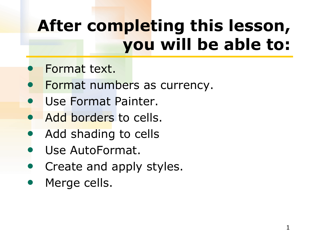## **After completing this lesson, you will be able to:**

- Format text.
- Format numbers as currency.
- Use Format Painter.
- Add borders to cells.
- Add shading to cells
- Use AutoFormat.
- Create and apply styles.
- Merge cells.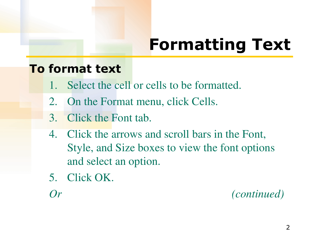## **Formatting Text**

#### **To format text**

- Select the cell or cells to be formatted.
- 2. On the Format menu, click Cells.
- 3. Click the Font tab.
- 4. Click the arrows and scroll bars in the Font, Style, and Size boxes to view the font options and select an option.
- 5. Click OK.

*Or (continued)*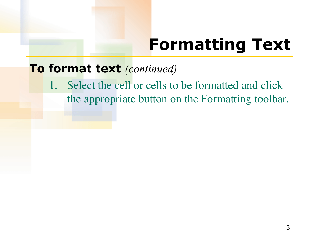### **Formatting Text**

#### **To format text** *(continued)*

1. Select the cell or cells to be formatted and click the appropriate button on the Formatting toolbar.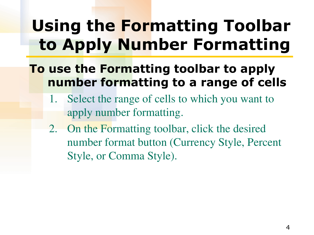### **Using the Formatting Toolbar to Apply Number Formatting**

### **To use the Formatting toolbar to apply number formatting to a range of cells**

- 1. Select the range of cells to which you want to apply number formatting.
- 2. On the Formatting toolbar, click the desired number format button (Currency Style, Percent Style, or Comma Style).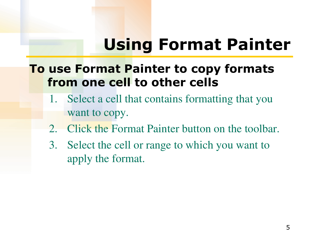### **Using Format Painter**

### **To use Format Painter to copy formats from one cell to other cells**

- 1. Select a cell that contains formatting that you want to copy.
- 2. Click the Format Painter button on the toolbar.
- 3. Select the cell or range to which you want to apply the format.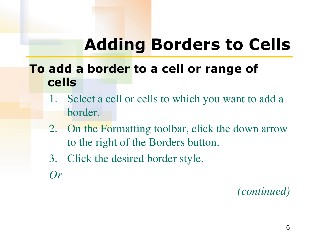### **Adding Borders to Cells**

### **To add a border to a cell or range of cells**

- 1. Select a cell or cells to which you want to add a border.
- 2. On the Formatting toolbar, click the down arrow to the right of the Borders button.
- 3. Click the desired border style.
- *Or*

*(continued)*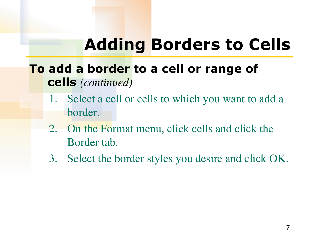### **Adding Borders to Cells**

### **To add a border to a cell or range of cells** *(continued)*

- 1. Select a cell or cells to which you want to add a border.
- 2. On the Format menu, click cells and click the Border tab.
- 3. Select the border styles you desire and click OK.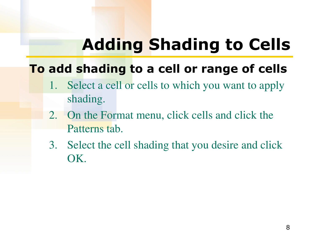## **Adding Shading to Cells**

### **To add shading to a cell or range of cells**

- 1. Select a cell or cells to which you want to apply shading.
- 2. On the Format menu, click cells and click the Patterns tab.
- 3. Select the cell shading that you desire and click OK.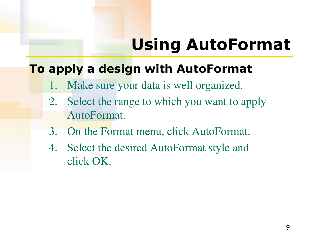### **Using AutoFormat**

### **To apply a design with AutoFormat**

- Make sure your data is well organized.
- 2. Select the range to which you want to apply AutoFormat.
- 3. On the Format menu, click AutoFormat.
- 4. Select the desired AutoFormat style and click OK.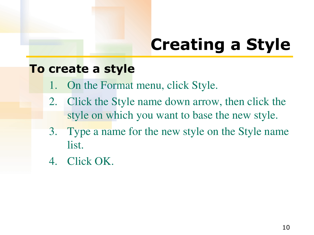## **Creating a Style**

#### **To create a style**

- 1. On the Format menu, click Style.
- 2. Click the Style name down arrow, then click the style on which you want to base the new style.
- 3. Type a name for the new style on the Style name list.
- 4. Click OK.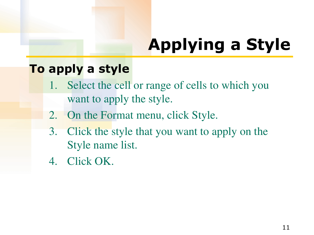# **Applying a Style**

#### **To apply a style**

- 1. Select the cell or range of cells to which you want to apply the style.
- 2. On the Format menu, click Style.
- 3. Click the style that you want to apply on the Style name list.
- 4. Click OK.